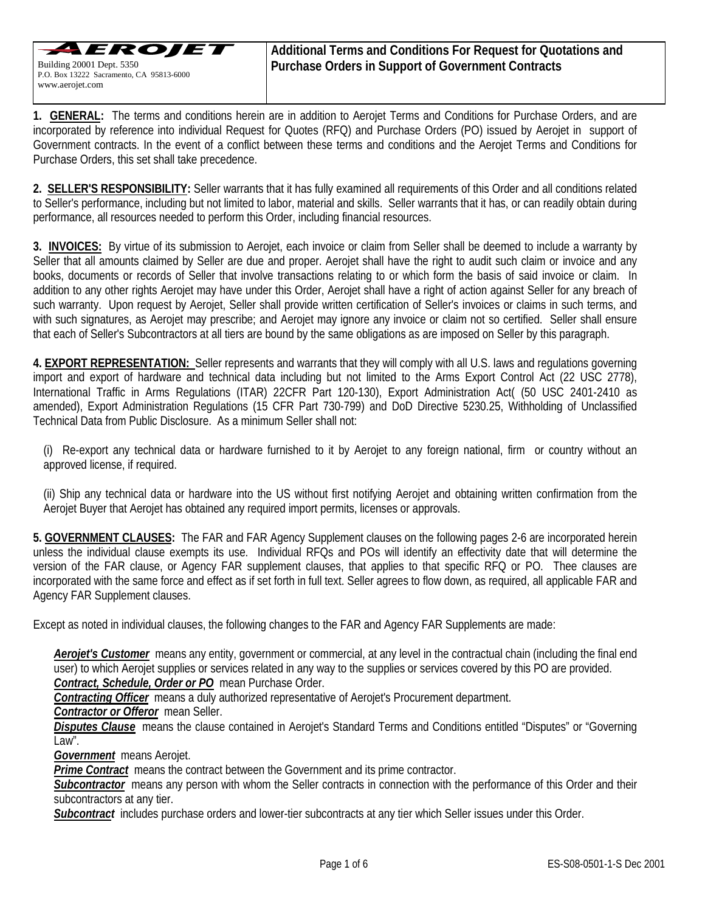**1. GENERAL:** The terms and conditions herein are in addition to Aerojet Terms and Conditions for Purchase Orders, and are incorporated by reference into individual Request for Quotes (RFQ) and Purchase Orders (PO) issued by Aerojet in support of Government contracts. In the event of a conflict between these terms and conditions and the Aerojet Terms and Conditions for Purchase Orders, this set shall take precedence.

**2. SELLER'S RESPONSIBILITY:** Seller warrants that it has fully examined all requirements of this Order and all conditions related to Seller's performance, including but not limited to labor, material and skills. Seller warrants that it has, or can readily obtain during performance, all resources needed to perform this Order, including financial resources.

**3. INVOICES:** By virtue of its submission to Aerojet, each invoice or claim from Seller shall be deemed to include a warranty by Seller that all amounts claimed by Seller are due and proper. Aerojet shall have the right to audit such claim or invoice and any books, documents or records of Seller that involve transactions relating to or which form the basis of said invoice or claim. In addition to any other rights Aerojet may have under this Order, Aerojet shall have a right of action against Seller for any breach of such warranty. Upon request by Aerojet, Seller shall provide written certification of Seller's invoices or claims in such terms, and with such signatures, as Aerojet may prescribe; and Aerojet may ignore any invoice or claim not so certified. Seller shall ensure that each of Seller's Subcontractors at all tiers are bound by the same obligations as are imposed on Seller by this paragraph.

**4. EXPORT REPRESENTATION:** Seller represents and warrants that they will comply with all U.S. laws and regulations governing import and export of hardware and technical data including but not limited to the Arms Export Control Act (22 USC 2778), International Traffic in Arms Regulations (ITAR) 22CFR Part 120-130), Export Administration Act( (50 USC 2401-2410 as amended), Export Administration Regulations (15 CFR Part 730-799) and DoD Directive 5230.25, Withholding of Unclassified Technical Data from Public Disclosure. As a minimum Seller shall not:

(i) Re-export any technical data or hardware furnished to it by Aerojet to any foreign national, firm or country without an approved license, if required.

(ii) Ship any technical data or hardware into the US without first notifying Aerojet and obtaining written confirmation from the Aerojet Buyer that Aerojet has obtained any required import permits, licenses or approvals.

**5. GOVERNMENT CLAUSES:** The FAR and FAR Agency Supplement clauses on the following pages 2-6 are incorporated herein unless the individual clause exempts its use. Individual RFQs and POs will identify an effectivity date that will determine the version of the FAR clause, or Agency FAR supplement clauses, that applies to that specific RFQ or PO. Thee clauses are incorporated with the same force and effect as if set forth in full text. Seller agrees to flow down, as required, all applicable FAR and Agency FAR Supplement clauses.

Except as noted in individual clauses, the following changes to the FAR and Agency FAR Supplements are made:

*Aerojet's Customer* means any entity, government or commercial, at any level in the contractual chain (including the final end user) to which Aerojet supplies or services related in any way to the supplies or services covered by this PO are provided. *Contract, Schedule, Order or PO* mean Purchase Order.

*Contracting Officer* means a duly authorized representative of Aerojet's Procurement department.

*Contractor or Offeror* mean Seller.

*Disputes Clause* means the clause contained in Aerojet's Standard Terms and Conditions entitled "Disputes" or "Governing Law".

*Government* means Aerojet.

*Prime Contract* means the contract between the Government and its prime contractor.

**Subcontractor** means any person with whom the Seller contracts in connection with the performance of this Order and their subcontractors at any tier.

*Subcontract* includes purchase orders and lower-tier subcontracts at any tier which Seller issues under this Order.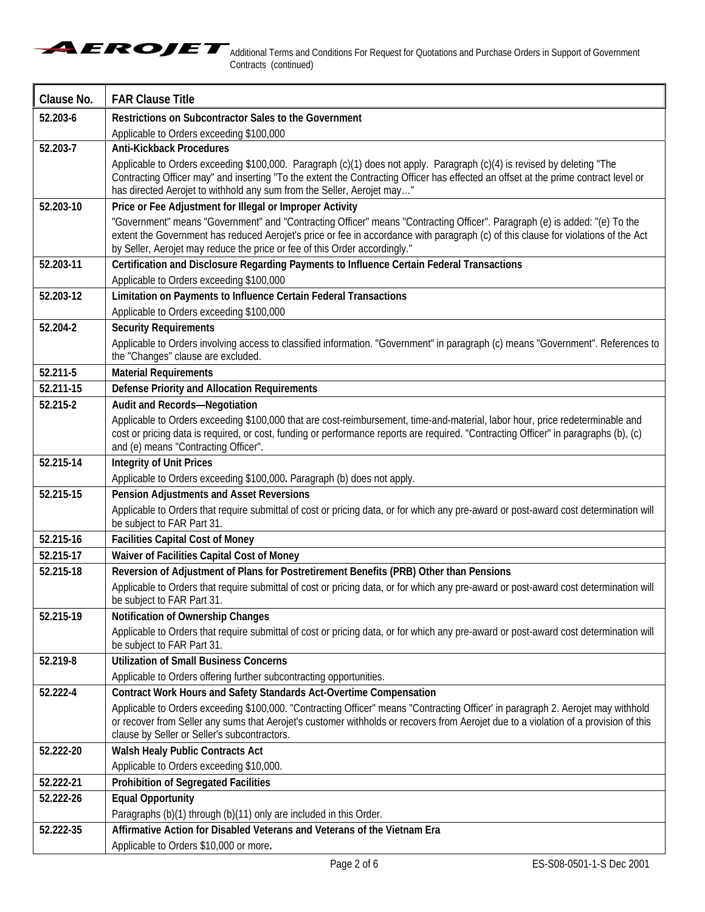

| Clause No. | <b>FAR Clause Title</b>                                                                                                                                                                                                                                                                                                                        |
|------------|------------------------------------------------------------------------------------------------------------------------------------------------------------------------------------------------------------------------------------------------------------------------------------------------------------------------------------------------|
| 52.203-6   | <b>Restrictions on Subcontractor Sales to the Government</b>                                                                                                                                                                                                                                                                                   |
|            | Applicable to Orders exceeding \$100,000                                                                                                                                                                                                                                                                                                       |
| 52.203-7   | <b>Anti-Kickback Procedures</b>                                                                                                                                                                                                                                                                                                                |
|            | Applicable to Orders exceeding \$100,000. Paragraph (c)(1) does not apply. Paragraph (c)(4) is revised by deleting "The<br>Contracting Officer may" and inserting "To the extent the Contracting Officer has effected an offset at the prime contract level or<br>has directed Aerojet to withhold any sum from the Seller, Aerojet may"       |
| 52.203-10  | Price or Fee Adjustment for Illegal or Improper Activity                                                                                                                                                                                                                                                                                       |
|            | "Government" means "Government" and "Contracting Officer" means "Contracting Officer". Paragraph (e) is added: "(e) To the<br>extent the Government has reduced Aerojet's price or fee in accordance with paragraph (c) of this clause for violations of the Act<br>by Seller, Aerojet may reduce the price or fee of this Order accordingly." |
| 52.203-11  | Certification and Disclosure Regarding Payments to Influence Certain Federal Transactions                                                                                                                                                                                                                                                      |
|            | Applicable to Orders exceeding \$100,000                                                                                                                                                                                                                                                                                                       |
| 52.203-12  | Limitation on Payments to Influence Certain Federal Transactions                                                                                                                                                                                                                                                                               |
|            | Applicable to Orders exceeding \$100,000                                                                                                                                                                                                                                                                                                       |
| 52.204-2   | <b>Security Requirements</b><br>Applicable to Orders involving access to classified information. "Government" in paragraph (c) means "Government". References to<br>the "Changes" clause are excluded.                                                                                                                                         |
| 52.211-5   | <b>Material Requirements</b>                                                                                                                                                                                                                                                                                                                   |
| 52.211-15  | <b>Defense Priority and Allocation Requirements</b>                                                                                                                                                                                                                                                                                            |
| 52.215-2   | <b>Audit and Records-Negotiation</b>                                                                                                                                                                                                                                                                                                           |
|            | Applicable to Orders exceeding \$100,000 that are cost-reimbursement, time-and-material, labor hour, price redeterminable and<br>cost or pricing data is required, or cost, funding or performance reports are required. "Contracting Officer" in paragraphs (b), (c)<br>and (e) means "Contracting Officer".                                  |
| 52.215-14  | <b>Integrity of Unit Prices</b>                                                                                                                                                                                                                                                                                                                |
|            | Applicable to Orders exceeding \$100,000. Paragraph (b) does not apply.                                                                                                                                                                                                                                                                        |
| 52.215-15  | <b>Pension Adjustments and Asset Reversions</b><br>Applicable to Orders that require submittal of cost or pricing data, or for which any pre-award or post-award cost determination will                                                                                                                                                       |
|            | be subject to FAR Part 31.                                                                                                                                                                                                                                                                                                                     |
| 52.215-16  | <b>Facilities Capital Cost of Money</b>                                                                                                                                                                                                                                                                                                        |
| 52.215-17  | Waiver of Facilities Capital Cost of Money                                                                                                                                                                                                                                                                                                     |
| 52.215-18  | Reversion of Adjustment of Plans for Postretirement Benefits (PRB) Other than Pensions                                                                                                                                                                                                                                                         |
|            | Applicable to Orders that require submittal of cost or pricing data, or for which any pre-award or post-award cost determination will<br>be subject to FAR Part 31.                                                                                                                                                                            |
| 52.215-19  | Notification of Ownership Changes                                                                                                                                                                                                                                                                                                              |
|            | Applicable to Orders that require submittal of cost or pricing data, or for which any pre-award or post-award cost determination will                                                                                                                                                                                                          |
| 52.219-8   | be subject to FAR Part 31.<br><b>Utilization of Small Business Concerns</b>                                                                                                                                                                                                                                                                    |
|            | Applicable to Orders offering further subcontracting opportunities.                                                                                                                                                                                                                                                                            |
| 52.222-4   | <b>Contract Work Hours and Safety Standards Act-Overtime Compensation</b>                                                                                                                                                                                                                                                                      |
|            | Applicable to Orders exceeding \$100,000. "Contracting Officer" means "Contracting Officer' in paragraph 2. Aerojet may withhold                                                                                                                                                                                                               |
|            | or recover from Seller any sums that Aerojet's customer withholds or recovers from Aerojet due to a violation of a provision of this                                                                                                                                                                                                           |
|            | clause by Seller or Seller's subcontractors.                                                                                                                                                                                                                                                                                                   |
| 52.222-20  | <b>Walsh Healy Public Contracts Act</b>                                                                                                                                                                                                                                                                                                        |
|            | Applicable to Orders exceeding \$10,000.                                                                                                                                                                                                                                                                                                       |
| 52.222-21  | <b>Prohibition of Segregated Facilities</b>                                                                                                                                                                                                                                                                                                    |
| 52.222-26  | <b>Equal Opportunity</b>                                                                                                                                                                                                                                                                                                                       |
|            | Paragraphs (b)(1) through (b)(11) only are included in this Order.                                                                                                                                                                                                                                                                             |
| 52.222-35  | Affirmative Action for Disabled Veterans and Veterans of the Vietnam Era                                                                                                                                                                                                                                                                       |
|            | Applicable to Orders \$10,000 or more.                                                                                                                                                                                                                                                                                                         |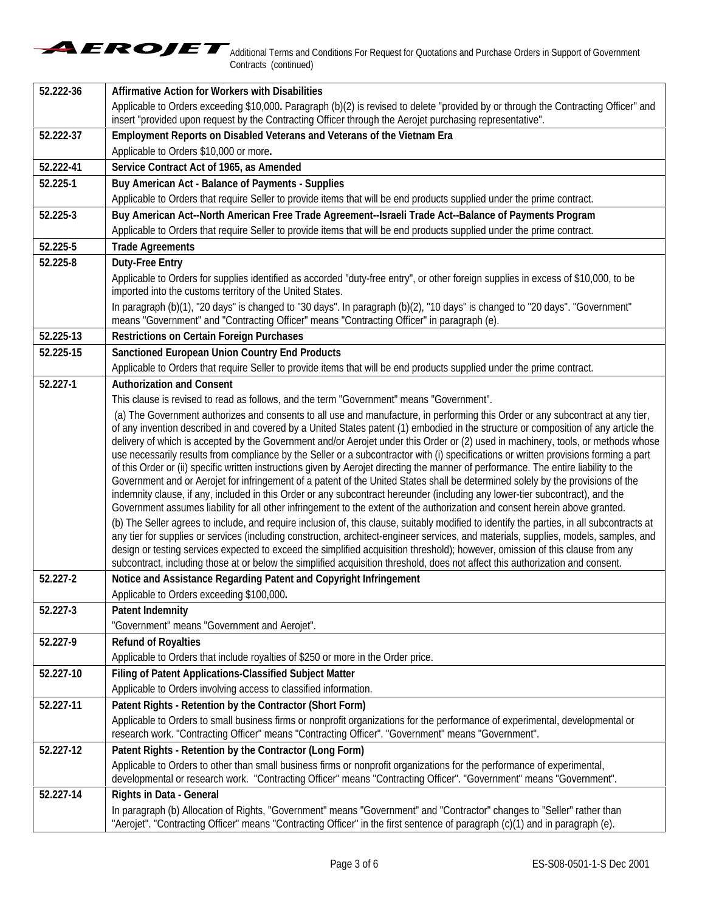| 52.222-36 | <b>Affirmative Action for Workers with Disabilities</b>                                                                                                                                                                                                                                                                                                                                                                                                                                                                                                                                                                                                                                                                                                                                                                                                                                                                                                                                                                                                                                                                                                                                                                                                                                                                                                                                  |
|-----------|------------------------------------------------------------------------------------------------------------------------------------------------------------------------------------------------------------------------------------------------------------------------------------------------------------------------------------------------------------------------------------------------------------------------------------------------------------------------------------------------------------------------------------------------------------------------------------------------------------------------------------------------------------------------------------------------------------------------------------------------------------------------------------------------------------------------------------------------------------------------------------------------------------------------------------------------------------------------------------------------------------------------------------------------------------------------------------------------------------------------------------------------------------------------------------------------------------------------------------------------------------------------------------------------------------------------------------------------------------------------------------------|
|           | Applicable to Orders exceeding \$10,000. Paragraph (b)(2) is revised to delete "provided by or through the Contracting Officer" and<br>insert "provided upon request by the Contracting Officer through the Aerojet purchasing representative".                                                                                                                                                                                                                                                                                                                                                                                                                                                                                                                                                                                                                                                                                                                                                                                                                                                                                                                                                                                                                                                                                                                                          |
| 52.222-37 | Employment Reports on Disabled Veterans and Veterans of the Vietnam Era                                                                                                                                                                                                                                                                                                                                                                                                                                                                                                                                                                                                                                                                                                                                                                                                                                                                                                                                                                                                                                                                                                                                                                                                                                                                                                                  |
|           | Applicable to Orders \$10,000 or more.                                                                                                                                                                                                                                                                                                                                                                                                                                                                                                                                                                                                                                                                                                                                                                                                                                                                                                                                                                                                                                                                                                                                                                                                                                                                                                                                                   |
| 52.222-41 | Service Contract Act of 1965, as Amended                                                                                                                                                                                                                                                                                                                                                                                                                                                                                                                                                                                                                                                                                                                                                                                                                                                                                                                                                                                                                                                                                                                                                                                                                                                                                                                                                 |
| 52.225-1  | Buy American Act - Balance of Payments - Supplies                                                                                                                                                                                                                                                                                                                                                                                                                                                                                                                                                                                                                                                                                                                                                                                                                                                                                                                                                                                                                                                                                                                                                                                                                                                                                                                                        |
|           | Applicable to Orders that require Seller to provide items that will be end products supplied under the prime contract.                                                                                                                                                                                                                                                                                                                                                                                                                                                                                                                                                                                                                                                                                                                                                                                                                                                                                                                                                                                                                                                                                                                                                                                                                                                                   |
| 52.225-3  | Buy American Act--North American Free Trade Agreement--Israeli Trade Act--Balance of Payments Program                                                                                                                                                                                                                                                                                                                                                                                                                                                                                                                                                                                                                                                                                                                                                                                                                                                                                                                                                                                                                                                                                                                                                                                                                                                                                    |
|           | Applicable to Orders that require Seller to provide items that will be end products supplied under the prime contract.                                                                                                                                                                                                                                                                                                                                                                                                                                                                                                                                                                                                                                                                                                                                                                                                                                                                                                                                                                                                                                                                                                                                                                                                                                                                   |
| 52.225-5  | <b>Trade Agreements</b>                                                                                                                                                                                                                                                                                                                                                                                                                                                                                                                                                                                                                                                                                                                                                                                                                                                                                                                                                                                                                                                                                                                                                                                                                                                                                                                                                                  |
| 52.225-8  | <b>Duty-Free Entry</b>                                                                                                                                                                                                                                                                                                                                                                                                                                                                                                                                                                                                                                                                                                                                                                                                                                                                                                                                                                                                                                                                                                                                                                                                                                                                                                                                                                   |
|           | Applicable to Orders for supplies identified as accorded "duty-free entry", or other foreign supplies in excess of \$10,000, to be<br>imported into the customs territory of the United States.                                                                                                                                                                                                                                                                                                                                                                                                                                                                                                                                                                                                                                                                                                                                                                                                                                                                                                                                                                                                                                                                                                                                                                                          |
|           | In paragraph (b)(1), "20 days" is changed to "30 days". In paragraph (b)(2), "10 days" is changed to "20 days". "Government"<br>means "Government" and "Contracting Officer" means "Contracting Officer" in paragraph (e).                                                                                                                                                                                                                                                                                                                                                                                                                                                                                                                                                                                                                                                                                                                                                                                                                                                                                                                                                                                                                                                                                                                                                               |
| 52.225-13 | <b>Restrictions on Certain Foreign Purchases</b>                                                                                                                                                                                                                                                                                                                                                                                                                                                                                                                                                                                                                                                                                                                                                                                                                                                                                                                                                                                                                                                                                                                                                                                                                                                                                                                                         |
| 52.225-15 | <b>Sanctioned European Union Country End Products</b>                                                                                                                                                                                                                                                                                                                                                                                                                                                                                                                                                                                                                                                                                                                                                                                                                                                                                                                                                                                                                                                                                                                                                                                                                                                                                                                                    |
|           | Applicable to Orders that require Seller to provide items that will be end products supplied under the prime contract.                                                                                                                                                                                                                                                                                                                                                                                                                                                                                                                                                                                                                                                                                                                                                                                                                                                                                                                                                                                                                                                                                                                                                                                                                                                                   |
| 52.227-1  | <b>Authorization and Consent</b>                                                                                                                                                                                                                                                                                                                                                                                                                                                                                                                                                                                                                                                                                                                                                                                                                                                                                                                                                                                                                                                                                                                                                                                                                                                                                                                                                         |
|           | This clause is revised to read as follows, and the term "Government" means "Government".                                                                                                                                                                                                                                                                                                                                                                                                                                                                                                                                                                                                                                                                                                                                                                                                                                                                                                                                                                                                                                                                                                                                                                                                                                                                                                 |
|           | (a) The Government authorizes and consents to all use and manufacture, in performing this Order or any subcontract at any tier,<br>of any invention described in and covered by a United States patent (1) embodied in the structure or composition of any article the<br>delivery of which is accepted by the Government and/or Aerojet under this Order or (2) used in machinery, tools, or methods whose<br>use necessarily results from compliance by the Seller or a subcontractor with (i) specifications or written provisions forming a part<br>of this Order or (ii) specific written instructions given by Aerojet directing the manner of performance. The entire liability to the<br>Government and or Aerojet for infringement of a patent of the United States shall be determined solely by the provisions of the<br>indemnity clause, if any, included in this Order or any subcontract hereunder (including any lower-tier subcontract), and the<br>Government assumes liability for all other infringement to the extent of the authorization and consent herein above granted.<br>(b) The Seller agrees to include, and require inclusion of, this clause, suitably modified to identify the parties, in all subcontracts at<br>any tier for supplies or services (including construction, architect-engineer services, and materials, supplies, models, samples, and |
|           | design or testing services expected to exceed the simplified acquisition threshold); however, omission of this clause from any<br>subcontract, including those at or below the simplified acquisition threshold, does not affect this authorization and consent.                                                                                                                                                                                                                                                                                                                                                                                                                                                                                                                                                                                                                                                                                                                                                                                                                                                                                                                                                                                                                                                                                                                         |
| 52.227-2  | Notice and Assistance Regarding Patent and Copyright Infringement                                                                                                                                                                                                                                                                                                                                                                                                                                                                                                                                                                                                                                                                                                                                                                                                                                                                                                                                                                                                                                                                                                                                                                                                                                                                                                                        |
|           | Applicable to Orders exceeding \$100,000.                                                                                                                                                                                                                                                                                                                                                                                                                                                                                                                                                                                                                                                                                                                                                                                                                                                                                                                                                                                                                                                                                                                                                                                                                                                                                                                                                |
| 52.227-3  | <b>Patent Indemnity</b>                                                                                                                                                                                                                                                                                                                                                                                                                                                                                                                                                                                                                                                                                                                                                                                                                                                                                                                                                                                                                                                                                                                                                                                                                                                                                                                                                                  |
|           | "Government" means "Government and Aerojet".                                                                                                                                                                                                                                                                                                                                                                                                                                                                                                                                                                                                                                                                                                                                                                                                                                                                                                                                                                                                                                                                                                                                                                                                                                                                                                                                             |
| 52.227-9  | <b>Refund of Royalties</b>                                                                                                                                                                                                                                                                                                                                                                                                                                                                                                                                                                                                                                                                                                                                                                                                                                                                                                                                                                                                                                                                                                                                                                                                                                                                                                                                                               |
|           | Applicable to Orders that include royalties of \$250 or more in the Order price.                                                                                                                                                                                                                                                                                                                                                                                                                                                                                                                                                                                                                                                                                                                                                                                                                                                                                                                                                                                                                                                                                                                                                                                                                                                                                                         |
| 52.227-10 | Filing of Patent Applications-Classified Subject Matter                                                                                                                                                                                                                                                                                                                                                                                                                                                                                                                                                                                                                                                                                                                                                                                                                                                                                                                                                                                                                                                                                                                                                                                                                                                                                                                                  |
|           | Applicable to Orders involving access to classified information.                                                                                                                                                                                                                                                                                                                                                                                                                                                                                                                                                                                                                                                                                                                                                                                                                                                                                                                                                                                                                                                                                                                                                                                                                                                                                                                         |
| 52.227-11 | Patent Rights - Retention by the Contractor (Short Form)                                                                                                                                                                                                                                                                                                                                                                                                                                                                                                                                                                                                                                                                                                                                                                                                                                                                                                                                                                                                                                                                                                                                                                                                                                                                                                                                 |
|           | Applicable to Orders to small business firms or nonprofit organizations for the performance of experimental, developmental or<br>research work. "Contracting Officer" means "Contracting Officer". "Government" means "Government".                                                                                                                                                                                                                                                                                                                                                                                                                                                                                                                                                                                                                                                                                                                                                                                                                                                                                                                                                                                                                                                                                                                                                      |
| 52.227-12 | Patent Rights - Retention by the Contractor (Long Form)                                                                                                                                                                                                                                                                                                                                                                                                                                                                                                                                                                                                                                                                                                                                                                                                                                                                                                                                                                                                                                                                                                                                                                                                                                                                                                                                  |
|           | Applicable to Orders to other than small business firms or nonprofit organizations for the performance of experimental,<br>developmental or research work. "Contracting Officer" means "Contracting Officer". "Government" means "Government".                                                                                                                                                                                                                                                                                                                                                                                                                                                                                                                                                                                                                                                                                                                                                                                                                                                                                                                                                                                                                                                                                                                                           |
| 52.227-14 | <b>Rights in Data - General</b>                                                                                                                                                                                                                                                                                                                                                                                                                                                                                                                                                                                                                                                                                                                                                                                                                                                                                                                                                                                                                                                                                                                                                                                                                                                                                                                                                          |
|           | In paragraph (b) Allocation of Rights, "Government" means "Government" and "Contractor" changes to "Seller" rather than<br>"Aerojet". "Contracting Officer" means "Contracting Officer" in the first sentence of paragraph (c)(1) and in paragraph (e).                                                                                                                                                                                                                                                                                                                                                                                                                                                                                                                                                                                                                                                                                                                                                                                                                                                                                                                                                                                                                                                                                                                                  |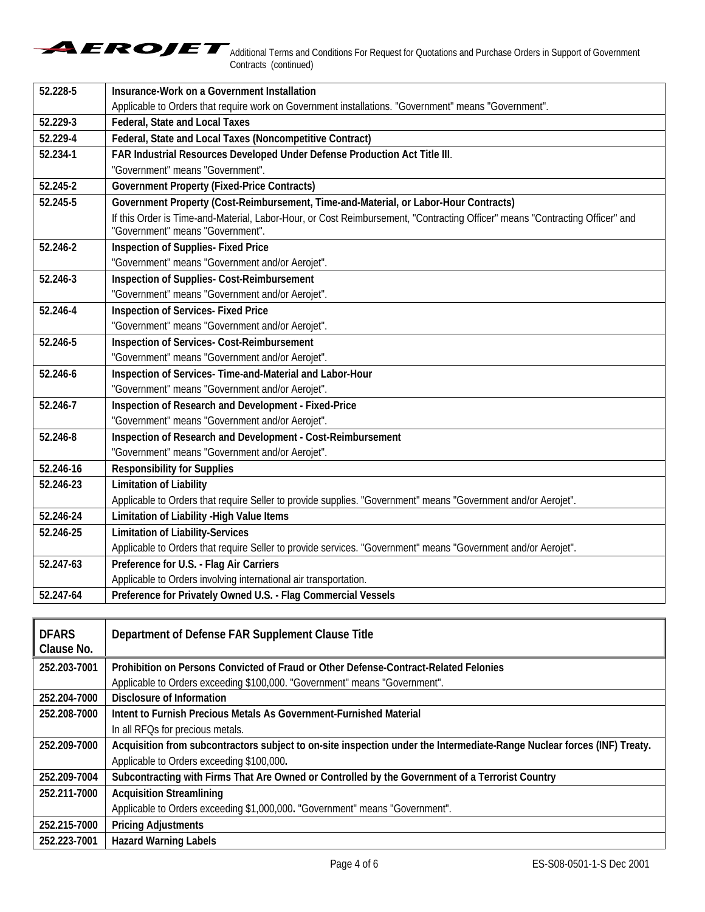Additional Terms and Conditions For Request for Quotations and Purchase Orders in Support of Government Contracts (continued)

| 52.228-5  | Insurance-Work on a Government Installation                                                                                                                      |
|-----------|------------------------------------------------------------------------------------------------------------------------------------------------------------------|
|           | Applicable to Orders that require work on Government installations. "Government" means "Government".                                                             |
| 52.229-3  | <b>Federal, State and Local Taxes</b>                                                                                                                            |
| 52.229-4  | Federal, State and Local Taxes (Noncompetitive Contract)                                                                                                         |
| 52.234-1  | FAR Industrial Resources Developed Under Defense Production Act Title III.                                                                                       |
|           | "Government" means "Government".                                                                                                                                 |
| 52.245-2  | <b>Government Property (Fixed-Price Contracts)</b>                                                                                                               |
| 52.245-5  | Government Property (Cost-Reimbursement, Time-and-Material, or Labor-Hour Contracts)                                                                             |
|           | If this Order is Time-and-Material, Labor-Hour, or Cost Reimbursement, "Contracting Officer" means "Contracting Officer" and<br>"Government" means "Government". |
| 52.246-2  | <b>Inspection of Supplies- Fixed Price</b>                                                                                                                       |
|           | "Government" means "Government and/or Aerojet".                                                                                                                  |
| 52.246-3  | <b>Inspection of Supplies- Cost-Reimbursement</b>                                                                                                                |
|           | "Government" means "Government and/or Aerojet".                                                                                                                  |
| 52.246-4  | <b>Inspection of Services- Fixed Price</b>                                                                                                                       |
|           | "Government" means "Government and/or Aerojet".                                                                                                                  |
| 52.246-5  | <b>Inspection of Services- Cost-Reimbursement</b>                                                                                                                |
|           | "Government" means "Government and/or Aerojet".                                                                                                                  |
| 52.246-6  | Inspection of Services- Time-and-Material and Labor-Hour                                                                                                         |
|           | "Government" means "Government and/or Aerojet".                                                                                                                  |
| 52.246-7  | <b>Inspection of Research and Development - Fixed-Price</b>                                                                                                      |
|           | "Government" means "Government and/or Aerojet".                                                                                                                  |
| 52.246-8  | Inspection of Research and Development - Cost-Reimbursement                                                                                                      |
|           | "Government" means "Government and/or Aerojet".                                                                                                                  |
| 52.246-16 | <b>Responsibility for Supplies</b>                                                                                                                               |
| 52.246-23 | <b>Limitation of Liability</b>                                                                                                                                   |
|           | Applicable to Orders that require Seller to provide supplies. "Government" means "Government and/or Aerojet".                                                    |
| 52.246-24 | <b>Limitation of Liability - High Value Items</b>                                                                                                                |
| 52.246-25 | <b>Limitation of Liability-Services</b>                                                                                                                          |
|           | Applicable to Orders that require Seller to provide services. "Government" means "Government and/or Aerojet".                                                    |
| 52.247-63 | Preference for U.S. - Flag Air Carriers                                                                                                                          |
|           | Applicable to Orders involving international air transportation.                                                                                                 |
| 52.247-64 | Preference for Privately Owned U.S. - Flag Commercial Vessels                                                                                                    |

| <b>DFARS</b><br>Clause No. | Department of Defense FAR Supplement Clause Title                                                                       |
|----------------------------|-------------------------------------------------------------------------------------------------------------------------|
| 252.203-7001               | Prohibition on Persons Convicted of Fraud or Other Defense-Contract-Related Felonies                                    |
|                            |                                                                                                                         |
|                            | Applicable to Orders exceeding \$100,000. "Government" means "Government".                                              |
| 252.204-7000               | Disclosure of Information                                                                                               |
| 252.208-7000               | Intent to Furnish Precious Metals As Government-Furnished Material                                                      |
|                            | In all RFQs for precious metals.                                                                                        |
| 252.209-7000               | Acquisition from subcontractors subject to on-site inspection under the Intermediate-Range Nuclear forces (INF) Treaty. |
|                            | Applicable to Orders exceeding \$100,000.                                                                               |
| 252.209-7004               | Subcontracting with Firms That Are Owned or Controlled by the Government of a Terrorist Country                         |
| 252.211-7000               | <b>Acquisition Streamlining</b>                                                                                         |
|                            | Applicable to Orders exceeding \$1,000,000. "Government" means "Government".                                            |
| 252.215-7000               | <b>Pricing Adjustments</b>                                                                                              |
| 252.223-7001               | <b>Hazard Warning Labels</b>                                                                                            |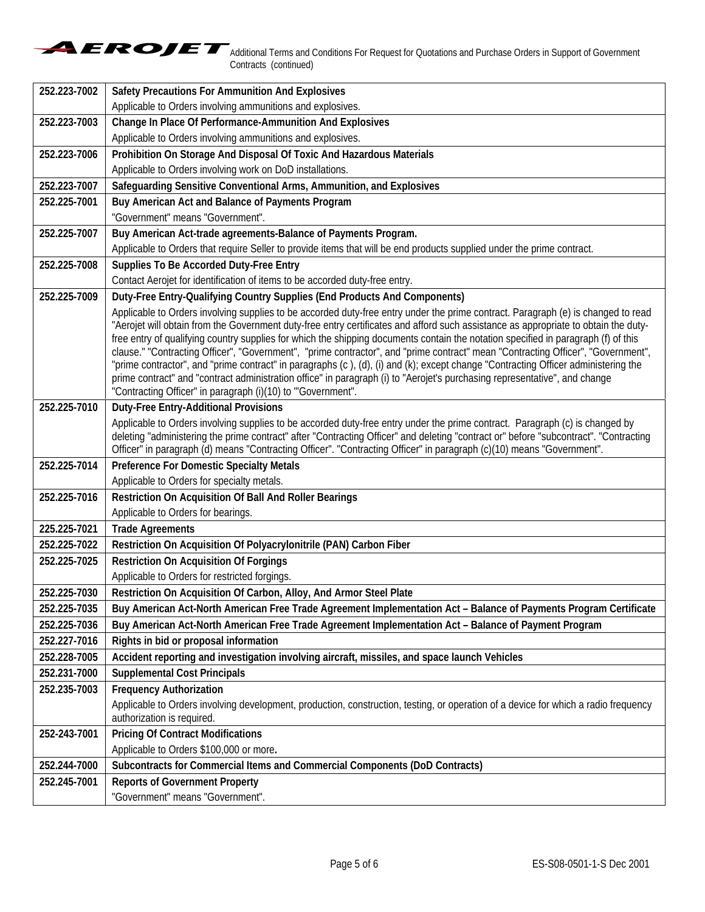| 252.223-7002 | <b>Safety Precautions For Ammunition And Explosives</b>                                                                                                                                                                                                                  |
|--------------|--------------------------------------------------------------------------------------------------------------------------------------------------------------------------------------------------------------------------------------------------------------------------|
|              | Applicable to Orders involving ammunitions and explosives.                                                                                                                                                                                                               |
| 252.223-7003 | <b>Change In Place Of Performance-Ammunition And Explosives</b>                                                                                                                                                                                                          |
|              | Applicable to Orders involving ammunitions and explosives.                                                                                                                                                                                                               |
| 252.223-7006 | Prohibition On Storage And Disposal Of Toxic And Hazardous Materials                                                                                                                                                                                                     |
|              | Applicable to Orders involving work on DoD installations.                                                                                                                                                                                                                |
| 252.223-7007 | Safeguarding Sensitive Conventional Arms, Ammunition, and Explosives                                                                                                                                                                                                     |
| 252.225-7001 | Buy American Act and Balance of Payments Program                                                                                                                                                                                                                         |
|              | "Government" means "Government".                                                                                                                                                                                                                                         |
| 252.225-7007 | Buy American Act-trade agreements-Balance of Payments Program.                                                                                                                                                                                                           |
|              | Applicable to Orders that require Seller to provide items that will be end products supplied under the prime contract.                                                                                                                                                   |
| 252.225-7008 | <b>Supplies To Be Accorded Duty-Free Entry</b>                                                                                                                                                                                                                           |
|              | Contact Aerojet for identification of items to be accorded duty-free entry.                                                                                                                                                                                              |
| 252.225-7009 | Duty-Free Entry-Qualifying Country Supplies (End Products And Components)                                                                                                                                                                                                |
|              | Applicable to Orders involving supplies to be accorded duty-free entry under the prime contract. Paragraph (e) is changed to read<br>"Aerojet will obtain from the Government duty-free entry certificates and afford such assistance as appropriate to obtain the duty- |
|              | free entry of qualifying country supplies for which the shipping documents contain the notation specified in paragraph (f) of this                                                                                                                                       |
|              | clause." "Contracting Officer", "Government", "prime contractor", and "prime contract" mean "Contracting Officer", "Government",                                                                                                                                         |
|              | "prime contractor", and "prime contract" in paragraphs (c), (d), (i) and (k); except change "Contracting Officer administering the                                                                                                                                       |
|              | prime contract" and "contract administration office" in paragraph (i) to "Aerojet's purchasing representative", and change                                                                                                                                               |
|              | "Contracting Officer" in paragraph (i)(10) to "'Government".                                                                                                                                                                                                             |
| 252.225-7010 | <b>Duty-Free Entry-Additional Provisions</b>                                                                                                                                                                                                                             |
|              | Applicable to Orders involving supplies to be accorded duty-free entry under the prime contract. Paragraph (c) is changed by<br>deleting "administering the prime contract" after "Contracting Officer" and deleting "contract or" before "subcontract". "Contracting    |
|              | Officer" in paragraph (d) means "Contracting Officer". "Contracting Officer" in paragraph (c)(10) means "Government".                                                                                                                                                    |
| 252.225-7014 | <b>Preference For Domestic Specialty Metals</b>                                                                                                                                                                                                                          |
|              | Applicable to Orders for specialty metals.                                                                                                                                                                                                                               |
| 252.225-7016 | <b>Restriction On Acquisition Of Ball And Roller Bearings</b>                                                                                                                                                                                                            |
|              | Applicable to Orders for bearings.                                                                                                                                                                                                                                       |
| 225.225-7021 | <b>Trade Agreements</b>                                                                                                                                                                                                                                                  |
| 252.225-7022 | Restriction On Acquisition Of Polyacrylonitrile (PAN) Carbon Fiber                                                                                                                                                                                                       |
| 252.225-7025 | <b>Restriction On Acquisition Of Forgings</b>                                                                                                                                                                                                                            |
|              | Applicable to Orders for restricted forgings.                                                                                                                                                                                                                            |
| 252.225-7030 | Restriction On Acquisition Of Carbon, Alloy, And Armor Steel Plate                                                                                                                                                                                                       |
| 252.225-7035 | Buy American Act-North American Free Trade Agreement Implementation Act - Balance of Payments Program Certificate                                                                                                                                                        |
| 252.225-7036 | Buy American Act-North American Free Trade Agreement Implementation Act - Balance of Payment Program                                                                                                                                                                     |
| 252.227-7016 | Rights in bid or proposal information                                                                                                                                                                                                                                    |
| 252.228-7005 | Accident reporting and investigation involving aircraft, missiles, and space launch Vehicles                                                                                                                                                                             |
| 252.231-7000 | <b>Supplemental Cost Principals</b>                                                                                                                                                                                                                                      |
| 252.235-7003 | <b>Frequency Authorization</b>                                                                                                                                                                                                                                           |
|              | Applicable to Orders involving development, production, construction, testing, or operation of a device for which a radio frequency<br>authorization is required.                                                                                                        |
| 252-243-7001 | <b>Pricing Of Contract Modifications</b>                                                                                                                                                                                                                                 |
|              | Applicable to Orders \$100,000 or more.                                                                                                                                                                                                                                  |
| 252.244-7000 | Subcontracts for Commercial Items and Commercial Components (DoD Contracts)                                                                                                                                                                                              |
| 252.245-7001 | <b>Reports of Government Property</b>                                                                                                                                                                                                                                    |
|              | "Government" means "Government".                                                                                                                                                                                                                                         |
|              |                                                                                                                                                                                                                                                                          |